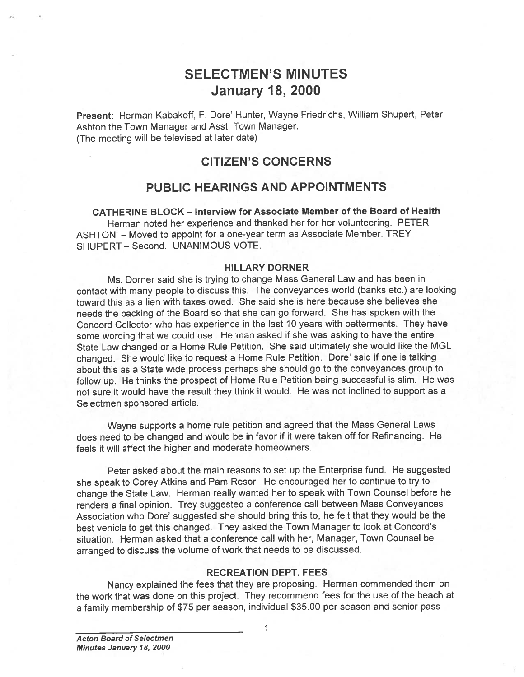# SELECTMEN'S MINUTES January 18, 2000

Present: Herman Kabakoff, F. Dore' Hunter, Wayne Friedrichs, William Shupert, Peter Ashton the Town Manager and Asst. Town Manager. (The meeting will be televised at later date)

# CITIZEN'S CONCERNS

# PUBLIC HEARINGS AND APPOINTMENTS

CATHERINE BLOCK — Interview for Associate Member of the Board of Health Herman noted her experience and thanked her for her volunteering. PETER ASHTON — Moved to appoint for <sup>a</sup> one-year term as Associate Member. TREY SHUPERT — Second. UNANIMOUS VOTE.

### HILLARY DORNER

Ms. Dorner said she is trying to change Mass General Law and has been in contact with many people to discuss this. The conveyances world (banks etc.) are looking toward this as <sup>a</sup> lien with taxes owed. She said she is here because she believes she needs the backing of the Board so that she can go forward. She has spoken with the Concord Collector who has experience in the last 10 years with betterments. They have some wording that we could use. Herman asked if she was asking to have the entire State Law changed or <sup>a</sup> Home Rule Petition. She said ultimately she would like the MGL changed. She would like to reques<sup>t</sup> <sup>a</sup> Home Rule Petition. Dore' said if one is talking about this as <sup>a</sup> State wide process perhaps she should go to the conveyances group to follow up. He thinks the prospec<sup>t</sup> of Home Rule Petition being successful is slim. He was not sure it would have the result they think it would. He was not inclined to suppor<sup>t</sup> as <sup>a</sup> Selectmen sponsored article.

Wayne supports <sup>a</sup> home rule petition and agree<sup>d</sup> that the Mass General Laws does need to be changed and would be in favor if it were taken off for Refinancing. He feels it will affect the higher and moderate homeowners.

Peter asked about the main reasons to set up the Enterprise fund. He suggested she spea<sup>k</sup> to Corey Atkins and Pam Resor. He encourage<sup>d</sup> her to continue to try to change the State Law. Herman really wanted her to spea<sup>k</sup> with Town Counsel before he renders <sup>a</sup> final opinion. Trey suggested <sup>a</sup> conference call between Mass Conveyances Association who Dore' suggested she should bring this to, he felt that they would be the best vehicle to ge<sup>t</sup> this changed. They asked the Town Manager to look at Concord's situation. Herman asked that <sup>a</sup> conference call with her, Manager, Town Counsel be arrange<sup>d</sup> to discuss the volume of work that needs to be discussed.

### RECREATION DEPT. FEES

Nancy explained the fees that they are proposing. Herman commended them on the work that was done on this project. They recommend fees for the use of the beach at <sup>a</sup> family membership of \$75 per season, individual \$35.00 per season and senior pass

1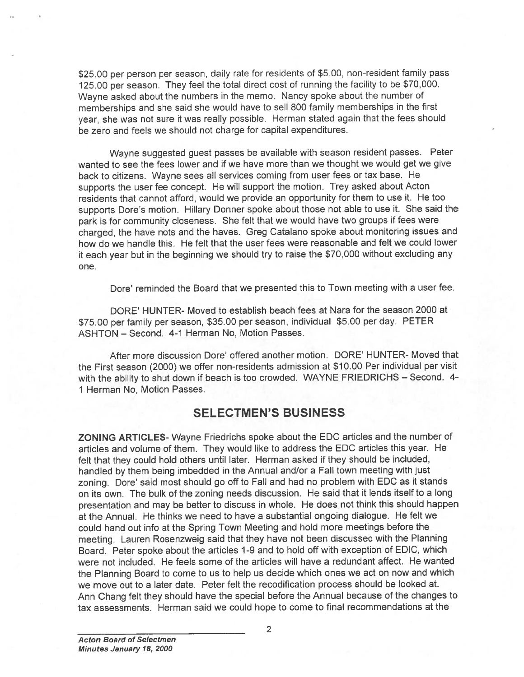\$25.00 pe<sup>t</sup> person per season, daily rate for residents of \$5.00, non-resident family pass 125.00 per season. They feel the total direct cost of running the facility to be \$70,000. Wayne asked about the numbers in the memo. Nancy spoke about the number of memberships and she said she would have to sell <sup>800</sup> family memberships in the first year, she was not sure it was really possible. Herman stated again that the fees should be zero and feels we should not charge for capital expenditures.

Wayne suggested gues<sup>t</sup> passes be available with season resident passes. Peter wanted to see the fees lower and if we have more than we thought we would ge<sup>t</sup> we give back to citizens. Wayne sees all services coming from user fees or tax base. He supports the user fee concept. He will suppor<sup>t</sup> the motion. Trey asked about Acton residents that cannot afford, would we provide an opportunity for them to use it. He too supports Dore's motion. Hillary Donner spoke about those not able to use it. She said the park is for community closeness. She felt that we would have two groups if fees were charged, the have nots and the haves. Greg Catalano spoke about monitoring issues and how do we handle this. He felt that the user fees were reasonable and felt we could lower it each year but in the beginning we should try to raise the \$70,000 without excluding any one.

Dare' reminded the Board that we presented this to Town meeting with <sup>a</sup> user fee.

DORE' HUNTER- Moved to establish beach fees at Nara for the season 2000 at \$75.00 per family per season, \$35.00 per season, individual \$5.00 per day. PETER ASHTON — Second. 4-1 Herman No, Motion Passes.

After more discussion Dore' offered another motion. DORE' HUNTER- Moved that the First season (2000) we offer non-residents admission at \$10.00 Per individual per visit with the ability to shut down if beach is too crowded. WAYNE FRIEDRICHS — Second. 4- 1 Herman No, Motion Passes.

## SELECTMEN'S BUSINESS

ZONING ARTICLES- Wayne Friedrichs spoke about the EDO articles and the number of articles and volume of them. They would like to address the EDO articles this year. He felt that they could hold others until later. Herman asked if they should be included, handled by them being imbedded in the Annual and/or <sup>a</sup> Fall town meeting with just zoning. Dore' said most should go off to Fall and had no problem with EDO as it stands on its own. The bulk of the zoning needs discussion. He said that it lends itself to <sup>a</sup> long presentation and may be better to discuss in whole. He does not think this should happen at the Annual. He thinks we need to have <sup>a</sup> substantial ongoing dialogue. He felt we could hand out info at the Spring Town Meeting and hold more meetings before the meeting. Lauren Rosenzweig said that they have not been discussed with the Planning Board. Peter spoke about the articles 1-9 and to hold off with exception of EDIO, which were not included. He feels some of the articles will have <sup>a</sup> redundant affect. He wanted the Planning Board to come to us to help us decide which ones we act on now and which we move out to <sup>a</sup> later date. Peter felt the recodification process should be looked at. Ann Ohang felt they should have the special before the Annual because of the changes to tax assessments. Herman said we could hope to come to final recommendations at the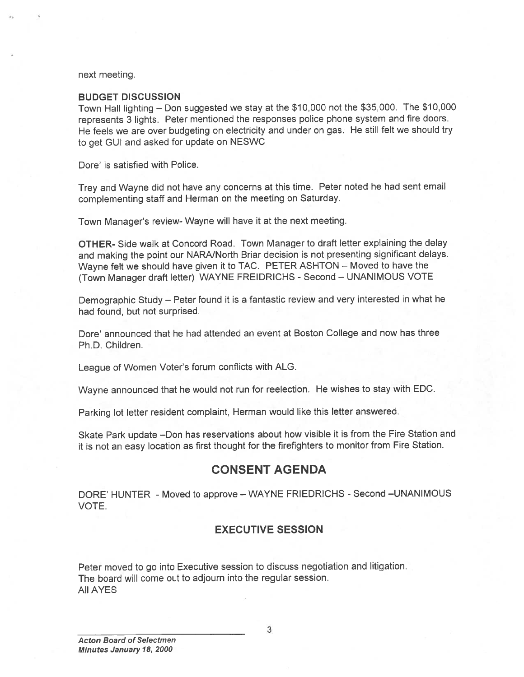next meeting.

### BUDGET DISCUSSION

Town Hall lighting — Don suggested we stay at the \$10,000 not the \$35,000. The \$10,000 represents <sup>3</sup> lights. Peter mentioned the responses police <sup>p</sup>hone system and fire doors. He feels we are over budgeting on electricity and under on gas. He still felt we should try to ge<sup>t</sup> GUI and asked for update on NESWC

Dore' is satisfied with Police.

Trey and Wayne did not have any concerns at this time. Peter noted he had sent email complementing staff and Herman on the meeting on Saturday.

Town Manager's review- Wayne will have it at the next meeting.

OTHER- Side walk at Concord Road. Town Manager to draft letter explaining the delay and making the point our NARNNorth Briar decision is not presenting significant delays. Wayne felt we should have <sup>g</sup>iven it to TAC. PETER ASHTON — Moved to have the (Town Manager draft letter) WAYNE FREIDRICHS - Second - UNANIMOUS VOTE

Demographic Study — Peter found it is <sup>a</sup> fantastic review and very interested in what he had found, but not surprised.

Dore' announced that he had attended an event at Boston College and now has three Ph.D. Children.

League of Women Voter's forum conflicts with ALG.

Wayne announced that he would not run for reelection. He wishes to stay with EDC.

Parking lot letter resident complaint, Herman would like this letter answered.

Skate Park update —Don has reservations about how visible it is from the Fire Station and it is not an easy location as first thought for the firefighters to monitor from Fire Station.

## CONSENT AGENDA

DORE' HUNTER - Moved to approve — WAYNE FRIEDRICHS - Second —UNANIMOUS VOTE.

### EXECUTIVE SESSION

Peter moved to go into Executive session to discuss negotiation and litigation. The board will come out to adjourn into the regular session. All AYES

3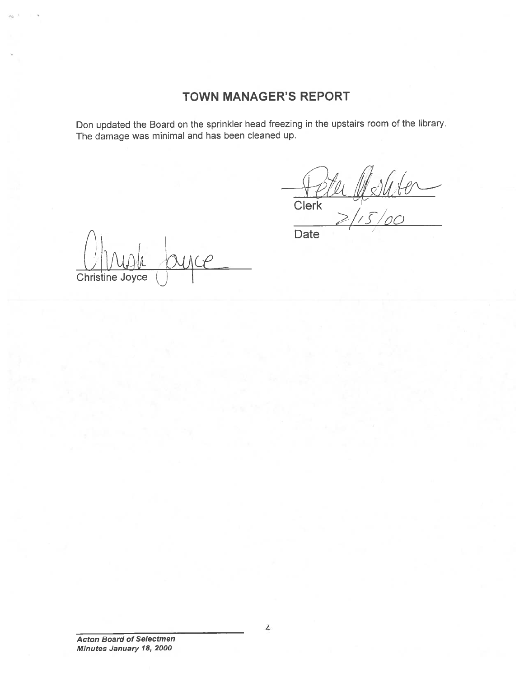# TOWN MANAGER'S REPORT

Don updated the Board on the sprinkler head freezing in the upstairs room of the library. The damage was minimal and has been cleaned up.

 $-60$ **Clerk**  $\geq$ / $\sqrt{C}/\sqrt{C}$ 

Christine Joyce  $\left(\begin{smallmatrix} \cdot & \cdot \cdot \\ \cdot & \cdot & \cdot \end{smallmatrix}\right)$ 

Date

Acton Board of Selectmen Minutes January 18, 2000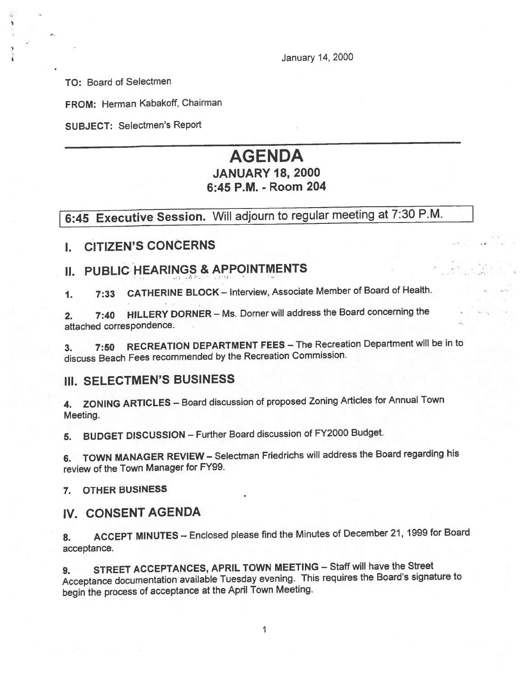January 14, 2000

TO: Board of Selectmen

FROM: Herman Kabakoff, Chairman

SUBJECT: Selectmen's Report

# AGENDA JANUARY 18, 2000 6:45 P.M. - Room 204

# 6:45 Executive Session. Will adjourn to regular meeting at 7:30 P.M.

I. CITIZEN'S CONCERNS

# II. PUBLIC HEARINGS & APPOINTMENTS

1. 7:33 CATHERINE BLOCK — Interview, Associate Member of Board of Health.

2. 7:40 HILLERY DORNER — Ms. Dorner will address the Board concerning the attached correspondence.

3. 7:50 RECREATION DEPARTMENT FEES — The Recreation Department will be in to discuss Beach Fees recommended by the Recreation Commission.

# ill. SELECTMEN'S BUSINESS

4. ZONING ARTICLES — Board discussion of propose<sup>d</sup> Zoning Articles for Annual Town Meeting.

5. BUDGET DISCUSSION — Further Board discussion of FY2000 Budget.

6. TOWN MANAGER REVIEW — Selectman Friedrichs will address the Board regarding his review of the Town Manager for FY99.

7. OTHER BUSINESS

## IV. CONSENT AGENDA

8. ACCEPT MINUTES -- Enclosed please find the Minutes of December 21, 1999 for Board acceptance.

9. STREET ACCEPTANCES, APRIL TOWN MEETING — Staff will have the Street Acceptance documentation available Tuesday evening. This requires the Board's signature to begin the process of acceptance at the April Town Meeting.